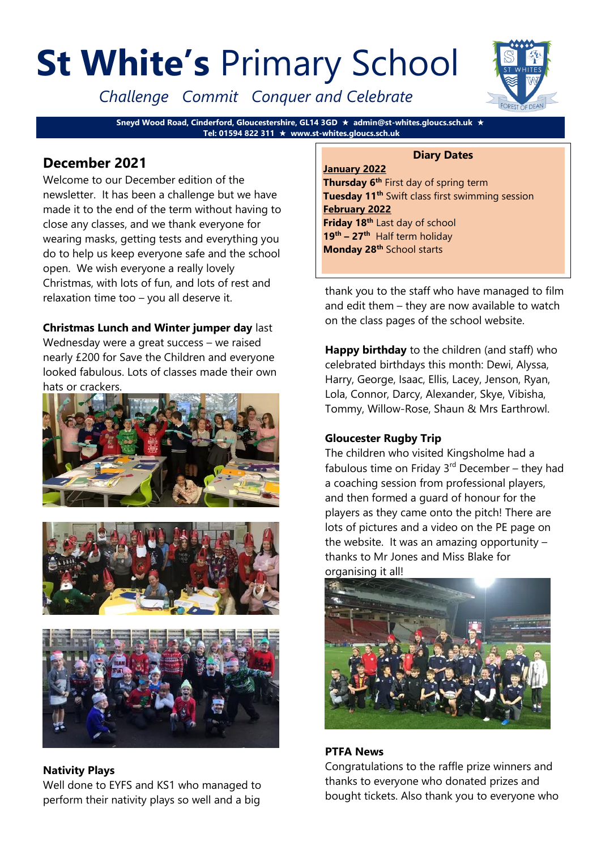# **St White's** Primary School

*Challenge Commit Conquer and Celebrate*

**Sneyd Wood Road, Cinderford, Gloucestershire, GL14 3GD admin@st-whites.gloucs.sch.uk Tel: 01594 822 311 www.st-whites.gloucs.sch.uk**

## **December 2021**

Welcome to our December edition of the newsletter. It has been a challenge but we have made it to the end of the term without having to close any classes, and we thank everyone for wearing masks, getting tests and everything you do to help us keep everyone safe and the school open. We wish everyone a really lovely Christmas, with lots of fun, and lots of rest and relaxation time too – you all deserve it.

### **Christmas Lunch and Winter jumper day** last

Wednesday were a great success – we raised nearly £200 for Save the Children and everyone looked fabulous. Lots of classes made their own hats or crackers.







#### **Nativity Plays**

Well done to EYFS and KS1 who managed to perform their nativity plays so well and a big



#### **Diary Dates**

**January 2022 Thursday 6th** First day of spring term **Tuesday 11th** Swift class first swimming session **February 2022 Friday 18th** Last day of school **19th – 27th** Half term holiday **Monday 28th** School starts

thank you to the staff who have managed to film and edit them – they are now available to watch on the class pages of the school website.

**Happy birthday** to the children (and staff) who celebrated birthdays this month: Dewi, Alyssa, Harry, George, Isaac, Ellis, Lacey, Jenson, Ryan, Lola, Connor, Darcy, Alexander, Skye, Vibisha, Tommy, Willow-Rose, Shaun & Mrs Earthrowl.

#### **Gloucester Rugby Trip**

The children who visited Kingsholme had a fabulous time on Friday  $3<sup>rd</sup>$  December – they had a coaching session from professional players, and then formed a guard of honour for the players as they came onto the pitch! There are lots of pictures and a video on the PE page on the website. It was an amazing opportunity – thanks to Mr Jones and Miss Blake for organising it all!



#### **PTFA News**

Congratulations to the raffle prize winners and thanks to everyone who donated prizes and bought tickets. Also thank you to everyone who